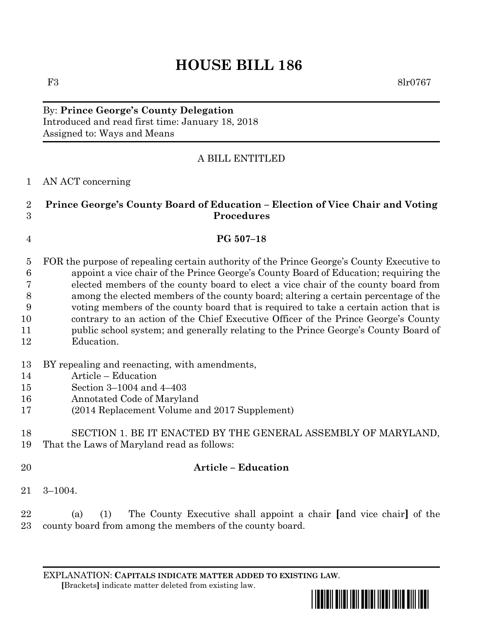# **HOUSE BILL 186**

F3 8lr0767

By: **Prince George's County Delegation** Introduced and read first time: January 18, 2018 Assigned to: Ways and Means

# A BILL ENTITLED

#### AN ACT concerning

# **Prince George's County Board of Education – Election of Vice Chair and Voting Procedures**

### **PG 507–18**

- FOR the purpose of repealing certain authority of the Prince George's County Executive to appoint a vice chair of the Prince George's County Board of Education; requiring the elected members of the county board to elect a vice chair of the county board from among the elected members of the county board; altering a certain percentage of the voting members of the county board that is required to take a certain action that is contrary to an action of the Chief Executive Officer of the Prince George's County public school system; and generally relating to the Prince George's County Board of
- Education.
- BY repealing and reenacting, with amendments,
- Article Education
- Section 3–1004 and 4–403
- Annotated Code of Maryland
- (2014 Replacement Volume and 2017 Supplement)

#### SECTION 1. BE IT ENACTED BY THE GENERAL ASSEMBLY OF MARYLAND, That the Laws of Maryland read as follows:

# **Article – Education**

3–1004.

 (a) (1) The County Executive shall appoint a chair **[**and vice chair**]** of the county board from among the members of the county board.

EXPLANATION: **CAPITALS INDICATE MATTER ADDED TO EXISTING LAW**.  **[**Brackets**]** indicate matter deleted from existing law.